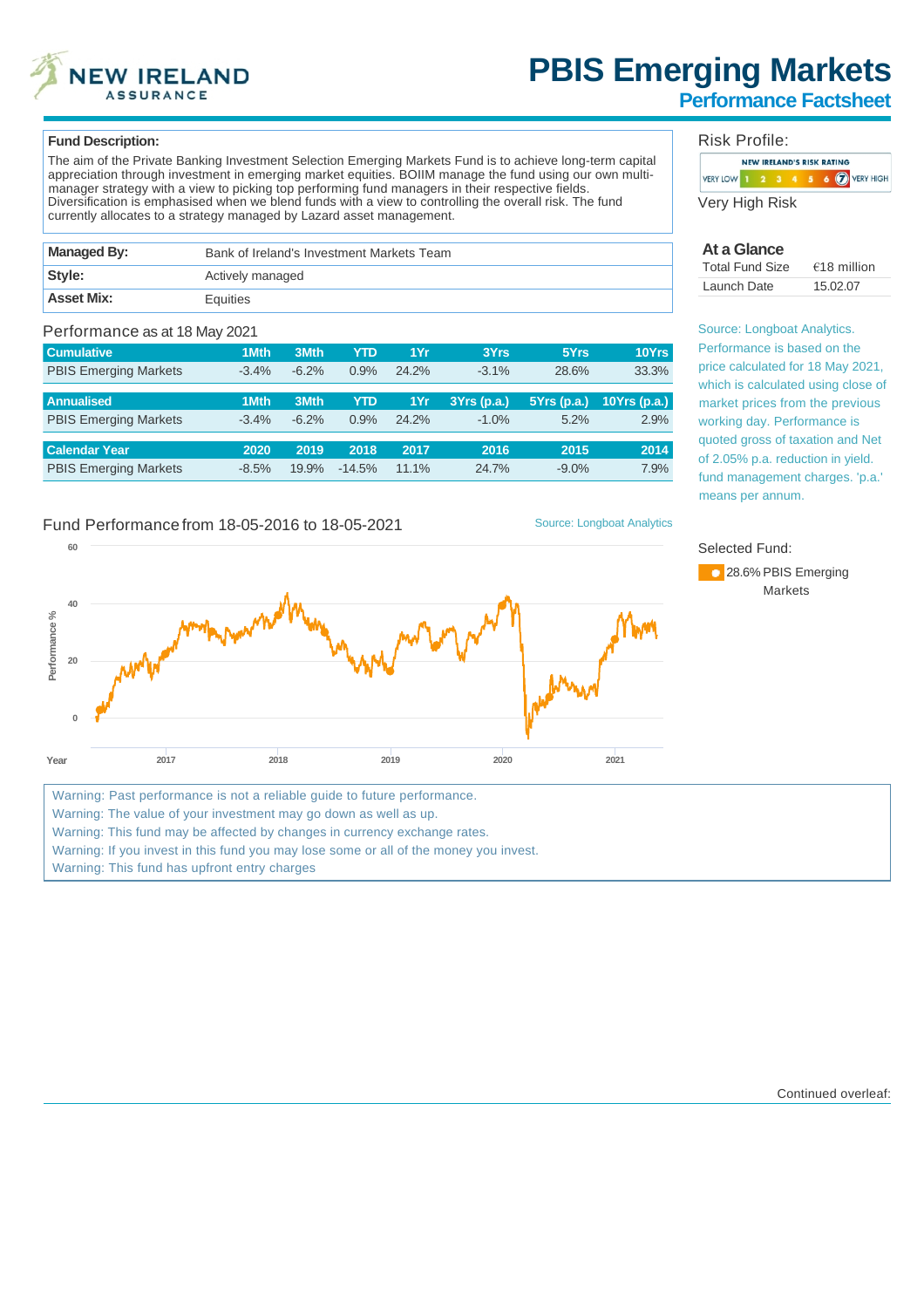

# **PBIS Emerging Markets**

### **Performance Factsheet**

#### **Fund Description:**

**60**

The aim of the Private Banking Investment Selection Emerging Markets Fund is to achieve long-term capital appreciation through investment in emerging market equities. BOIIM manage the fund using our own multimanager strategy with a view to picking top performing fund managers in their respective fields. Diversification is emphasised when we blend funds with a view to controlling the overall risk. The fund currently allocates to a strategy managed by Lazard asset management.

| Managed By:       | Bank of Ireland's Investment Markets Team |  |  |  |  |
|-------------------|-------------------------------------------|--|--|--|--|
| Style:            | Actively managed                          |  |  |  |  |
| <b>Asset Mix:</b> | Equities                                  |  |  |  |  |

#### Performance as at 18 May 2021

| <b>Cumulative</b>            | 1Mth    | 3Mth    | YTD        | 1Yr   | 3Yrs        | 5Yrs          | 10Yrs       |
|------------------------------|---------|---------|------------|-------|-------------|---------------|-------------|
| <b>PBIS Emerging Markets</b> | $-3.4%$ | $-6.2%$ | 0.9%       | 24.2% | $-3.1%$     | 28.6%         | 33.3%       |
|                              |         |         |            |       |             |               |             |
| <b>Annualised</b>            | 1Mth    | 3Mth    | <b>YTD</b> | 1Yr   | 3Yrs (p.a.) | $5Yrs$ (p.a.) | 10Yrs(p.a.) |
| <b>PBIS Emerging Markets</b> | $-3.4%$ | $-6.2%$ | 0.9%       | 24.2% | $-1.0%$     | 5.2%          | 2.9%        |
|                              |         |         |            |       |             |               |             |
| <b>Calendar Year</b>         | 2020    | 2019    | 2018       | 2017  | 2016        | 2015          | 2014        |
| <b>PBIS Emerging Markets</b> | $-8.5%$ | 19.9%   | $-14.5%$   | 11.1% | 24.7%       | $-9.0\%$      | 7.9%        |

#### Fund Performance from 18-05-2016 to 18-05-2021 Source: Longboat Analytics



Warning: Past performance is not a reliable guide to future performance.

Warning: The value of your investment may go down as well as up.

Warning: This fund may be affected by changes in currency exchange rates.

Warning: If you invest in this fund you may lose some or all of the money you invest.

Warning: This fund has upfront entry charges

#### Risk Profile:

|                |  |  | <b>NEW IRELAND'S RISK RATING</b> |  |                   |
|----------------|--|--|----------------------------------|--|-------------------|
| VERY LOW 1 2 3 |  |  |                                  |  | $6$ (7) VERY HIGH |
|                |  |  |                                  |  |                   |

Very High Risk

#### **At a Glance**

| <b>Total Fund Size</b> | $€18$ million |
|------------------------|---------------|
| Launch Date            | 15.02.07      |

Source: Longboat Analytics. Performance is based on the price calculated for 18 May 2021, which is calculated using close of market prices from the previous working day. Performance is quoted gross of taxation and Net of 2.05% p.a. reduction in yield. fund management charges. 'p.a.' means per annum.

#### Selected Fund:



Continued overleaf: